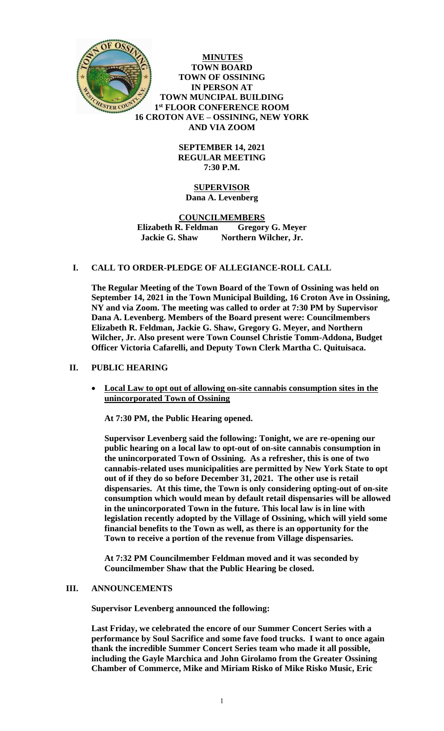

**MINUTES TOWN BOARD TOWN OF OSSINING IN PERSON AT TOWN MUNCIPAL BUILDING 1 st FLOOR CONFERENCE ROOM 16 CROTON AVE – OSSINING, NEW YORK AND VIA ZOOM**

> **SEPTEMBER 14, 2021 REGULAR MEETING 7:30 P.M.**

# **SUPERVISOR Dana A. Levenberg**

## **COUNCILMEMBERS Elizabeth R. Feldman Gregory G. Meyer Jackie G. Shaw Northern Wilcher, Jr.**

## **I. CALL TO ORDER-PLEDGE OF ALLEGIANCE-ROLL CALL**

**The Regular Meeting of the Town Board of the Town of Ossining was held on September 14, 2021 in the Town Municipal Building, 16 Croton Ave in Ossining, NY and via Zoom. The meeting was called to order at 7:30 PM by Supervisor Dana A. Levenberg. Members of the Board present were: Councilmembers Elizabeth R. Feldman, Jackie G. Shaw, Gregory G. Meyer, and Northern Wilcher, Jr. Also present were Town Counsel Christie Tomm-Addona, Budget Officer Victoria Cafarelli, and Deputy Town Clerk Martha C. Quituisaca.** 

## **II. PUBLIC HEARING**

 **Local Law to opt out of allowing on-site cannabis consumption sites in the unincorporated Town of Ossining**

**At 7:30 PM, the Public Hearing opened.** 

**Supervisor Levenberg said the following: Tonight, we are re-opening our public hearing on a local law to opt-out of on-site cannabis consumption in the unincorporated Town of Ossining. As a refresher, this is one of two cannabis-related uses municipalities are permitted by New York State to opt out of if they do so before December 31, 2021. The other use is retail dispensaries. At this time, the Town is only considering opting-out of on-site consumption which would mean by default retail dispensaries will be allowed in the unincorporated Town in the future. This local law is in line with legislation recently adopted by the Village of Ossining, which will yield some financial benefits to the Town as well, as there is an opportunity for the Town to receive a portion of the revenue from Village dispensaries.**

**At 7:32 PM Councilmember Feldman moved and it was seconded by Councilmember Shaw that the Public Hearing be closed.**

### **III. ANNOUNCEMENTS**

**Supervisor Levenberg announced the following:**

**Last Friday, we celebrated the encore of our Summer Concert Series with a performance by Soul Sacrifice and some fave food trucks. I want to once again thank the incredible Summer Concert Series team who made it all possible, including the Gayle Marchica and John Girolamo from the Greater Ossining Chamber of Commerce, Mike and Miriam Risko of Mike Risko Music, Eric**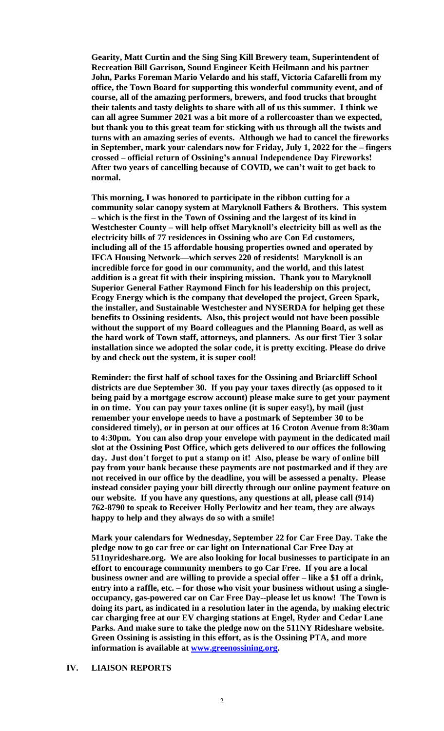**Gearity, Matt Curtin and the Sing Sing Kill Brewery team, Superintendent of Recreation Bill Garrison, Sound Engineer Keith Heilmann and his partner John, Parks Foreman Mario Velardo and his staff, Victoria Cafarelli from my office, the Town Board for supporting this wonderful community event, and of course, all of the amazing performers, brewers, and food trucks that brought their talents and tasty delights to share with all of us this summer. I think we can all agree Summer 2021 was a bit more of a rollercoaster than we expected, but thank you to this great team for sticking with us through all the twists and turns with an amazing series of events. Although we had to cancel the fireworks in September, mark your calendars now for Friday, July 1, 2022 for the – fingers crossed – official return of Ossining's annual Independence Day Fireworks! After two years of cancelling because of COVID, we can't wait to get back to normal.** 

**This morning, I was honored to participate in the ribbon cutting for a community solar canopy system at Maryknoll Fathers & Brothers. This system – which is the first in the Town of Ossining and the largest of its kind in Westchester County – will help offset Maryknoll's electricity bill as well as the electricity bills of 77 residences in Ossining who are Con Ed customers, including all of the 15 affordable housing properties owned and operated by IFCA Housing Network—which serves 220 of residents! Maryknoll is an incredible force for good in our community, and the world, and this latest addition is a great fit with their inspiring mission. Thank you to Maryknoll Superior General Father Raymond Finch for his leadership on this project, Ecogy Energy which is the company that developed the project, Green Spark, the installer, and Sustainable Westchester and NYSERDA for helping get these benefits to Ossining residents. Also, this project would not have been possible without the support of my Board colleagues and the Planning Board, as well as the hard work of Town staff, attorneys, and planners. As our first Tier 3 solar installation since we adopted the solar code, it is pretty exciting. Please do drive by and check out the system, it is super cool!** 

**Reminder: the first half of school taxes for the Ossining and Briarcliff School districts are due September 30. If you pay your taxes directly (as opposed to it being paid by a mortgage escrow account) please make sure to get your payment in on time. You can pay your taxes online (it is super easy!), by mail (just remember your envelope needs to have a postmark of September 30 to be considered timely), or in person at our offices at 16 Croton Avenue from 8:30am to 4:30pm. You can also drop your envelope with payment in the dedicated mail slot at the Ossining Post Office, which gets delivered to our offices the following day. Just don't forget to put a stamp on it! Also, please be wary of online bill pay from your bank because these payments are not postmarked and if they are not received in our office by the deadline, you will be assessed a penalty. Please instead consider paying your bill directly through our online payment feature on our website. If you have any questions, any questions at all, please call (914) 762-8790 to speak to Receiver Holly Perlowitz and her team, they are always happy to help and they always do so with a smile!**

**Mark your calendars for Wednesday, September 22 for Car Free Day. Take the pledge now to go car free or car light on International Car Free Day at 511nyrideshare.org. We are also looking for local businesses to participate in an effort to encourage community members to go Car Free. If you are a local business owner and are willing to provide a special offer – like a \$1 off a drink, entry into a raffle, etc. – for those who visit your business without using a singleoccupancy, gas-powered car on Car Free Day--please let us know! The Town is doing its part, as indicated in a resolution later in the agenda, by making electric car charging free at our EV charging stations at Engel, Ryder and Cedar Lane Parks. And make sure to take the pledge now on the 511NY Rideshare website. Green Ossining is assisting in this effort, as is the Ossining PTA, and more information is available at [www.greenossining.org.](http://www.greenossining.org/)**

## **IV. LIAISON REPORTS**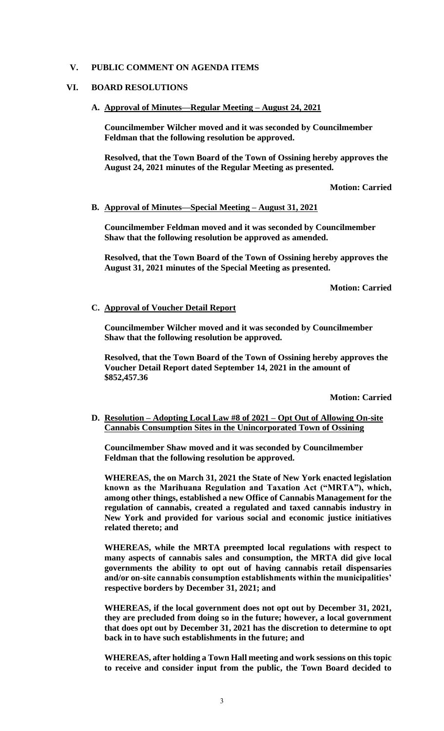## **V. PUBLIC COMMENT ON AGENDA ITEMS**

## **VI. BOARD RESOLUTIONS**

# **A. Approval of Minutes—Regular Meeting – August 24, 2021**

**Councilmember Wilcher moved and it was seconded by Councilmember Feldman that the following resolution be approved.** 

**Resolved, that the Town Board of the Town of Ossining hereby approves the August 24, 2021 minutes of the Regular Meeting as presented.**

**Motion: Carried**

#### **B. Approval of Minutes—Special Meeting – August 31, 2021**

**Councilmember Feldman moved and it was seconded by Councilmember Shaw that the following resolution be approved as amended.**

**Resolved, that the Town Board of the Town of Ossining hereby approves the August 31, 2021 minutes of the Special Meeting as presented.**

**Motion: Carried**

## **C. Approval of Voucher Detail Report**

**Councilmember Wilcher moved and it was seconded by Councilmember Shaw that the following resolution be approved.**

**Resolved, that the Town Board of the Town of Ossining hereby approves the Voucher Detail Report dated September 14, 2021 in the amount of \$852,457.36**

**Motion: Carried**

## **D. Resolution – Adopting Local Law #8 of 2021 – Opt Out of Allowing On-site Cannabis Consumption Sites in the Unincorporated Town of Ossining**

**Councilmember Shaw moved and it was seconded by Councilmember Feldman that the following resolution be approved.**

**WHEREAS, the on March 31, 2021 the State of New York enacted legislation known as the Marihuana Regulation and Taxation Act ("MRTA"), which, among other things, established a new Office of Cannabis Management for the regulation of cannabis, created a regulated and taxed cannabis industry in New York and provided for various social and economic justice initiatives related thereto; and**

**WHEREAS, while the MRTA preempted local regulations with respect to many aspects of cannabis sales and consumption, the MRTA did give local governments the ability to opt out of having cannabis retail dispensaries and/or on-site cannabis consumption establishments within the municipalities' respective borders by December 31, 2021; and**

**WHEREAS, if the local government does not opt out by December 31, 2021, they are precluded from doing so in the future; however, a local government that does opt out by December 31, 2021 has the discretion to determine to opt back in to have such establishments in the future; and**

**WHEREAS, after holding a Town Hall meeting and work sessions on this topic to receive and consider input from the public, the Town Board decided to**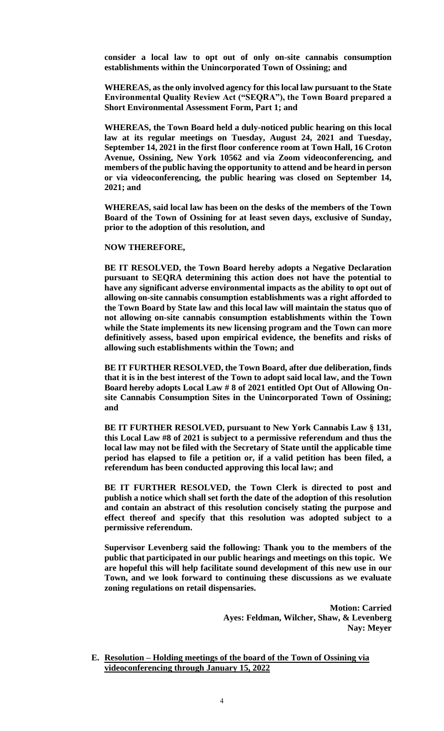**consider a local law to opt out of only on-site cannabis consumption establishments within the Unincorporated Town of Ossining; and**

**WHEREAS, as the only involved agency for this local law pursuant to the State Environmental Quality Review Act ("SEQRA"), the Town Board prepared a Short Environmental Assessment Form, Part 1; and**

**WHEREAS, the Town Board held a duly-noticed public hearing on this local law at its regular meetings on Tuesday, August 24, 2021 and Tuesday, September 14, 2021 in the first floor conference room at Town Hall, 16 Croton Avenue, Ossining, New York 10562 and via Zoom videoconferencing, and members of the public having the opportunity to attend and be heard in person or via videoconferencing, the public hearing was closed on September 14, 2021; and**

**WHEREAS, said local law has been on the desks of the members of the Town Board of the Town of Ossining for at least seven days, exclusive of Sunday, prior to the adoption of this resolution, and**

#### **NOW THEREFORE,**

**BE IT RESOLVED, the Town Board hereby adopts a Negative Declaration pursuant to SEQRA determining this action does not have the potential to have any significant adverse environmental impacts as the ability to opt out of allowing on-site cannabis consumption establishments was a right afforded to the Town Board by State law and this local law will maintain the status quo of not allowing on-site cannabis consumption establishments within the Town while the State implements its new licensing program and the Town can more definitively assess, based upon empirical evidence, the benefits and risks of allowing such establishments within the Town; and**

**BE IT FURTHER RESOLVED, the Town Board, after due deliberation, finds that it is in the best interest of the Town to adopt said local law, and the Town Board hereby adopts Local Law # 8 of 2021 entitled Opt Out of Allowing Onsite Cannabis Consumption Sites in the Unincorporated Town of Ossining; and** 

**BE IT FURTHER RESOLVED, pursuant to New York Cannabis Law § 131, this Local Law #8 of 2021 is subject to a permissive referendum and thus the local law may not be filed with the Secretary of State until the applicable time period has elapsed to file a petition or, if a valid petition has been filed, a referendum has been conducted approving this local law; and** 

**BE IT FURTHER RESOLVED, the Town Clerk is directed to post and publish a notice which shall set forth the date of the adoption of this resolution and contain an abstract of this resolution concisely stating the purpose and effect thereof and specify that this resolution was adopted subject to a permissive referendum.**

**Supervisor Levenberg said the following: Thank you to the members of the public that participated in our public hearings and meetings on this topic. We are hopeful this will help facilitate sound development of this new use in our Town, and we look forward to continuing these discussions as we evaluate zoning regulations on retail dispensaries.** 

> **Motion: Carried Ayes: Feldman, Wilcher, Shaw, & Levenberg Nay: Meyer**

**E. Resolution – Holding meetings of the board of the Town of Ossining via videoconferencing through January 15, 2022**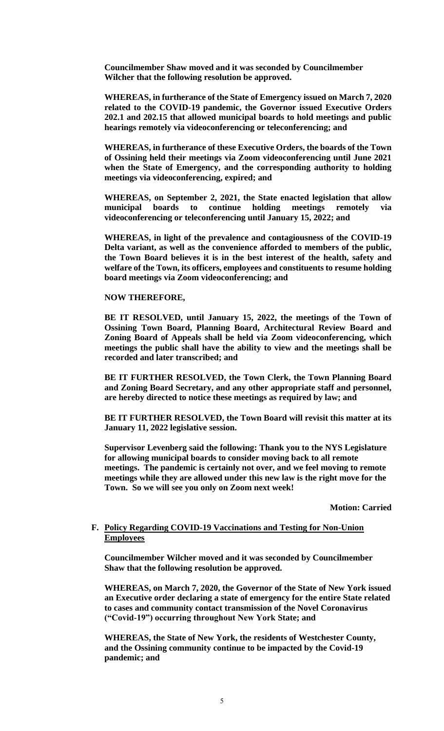**Councilmember Shaw moved and it was seconded by Councilmember Wilcher that the following resolution be approved.** 

**WHEREAS, in furtherance of the State of Emergency issued on March 7, 2020 related to the COVID-19 pandemic, the Governor issued Executive Orders 202.1 and 202.15 that allowed municipal boards to hold meetings and public hearings remotely via videoconferencing or teleconferencing; and**

**WHEREAS, in furtherance of these Executive Orders, the boards of the Town of Ossining held their meetings via Zoom videoconferencing until June 2021 when the State of Emergency, and the corresponding authority to holding meetings via videoconferencing, expired; and**

**WHEREAS, on September 2, 2021, the State enacted legislation that allow municipal boards to continue holding meetings remotely via videoconferencing or teleconferencing until January 15, 2022; and**

**WHEREAS, in light of the prevalence and contagiousness of the COVID-19 Delta variant, as well as the convenience afforded to members of the public, the Town Board believes it is in the best interest of the health, safety and welfare of the Town, its officers, employees and constituents to resume holding board meetings via Zoom videoconferencing; and**

#### **NOW THEREFORE,**

**BE IT RESOLVED, until January 15, 2022, the meetings of the Town of Ossining Town Board, Planning Board, Architectural Review Board and Zoning Board of Appeals shall be held via Zoom videoconferencing, which meetings the public shall have the ability to view and the meetings shall be recorded and later transcribed; and**

**BE IT FURTHER RESOLVED, the Town Clerk, the Town Planning Board and Zoning Board Secretary, and any other appropriate staff and personnel, are hereby directed to notice these meetings as required by law; and**

**BE IT FURTHER RESOLVED, the Town Board will revisit this matter at its January 11, 2022 legislative session.**

**Supervisor Levenberg said the following: Thank you to the NYS Legislature for allowing municipal boards to consider moving back to all remote meetings. The pandemic is certainly not over, and we feel moving to remote meetings while they are allowed under this new law is the right move for the Town. So we will see you only on Zoom next week!**

**Motion: Carried**

### **F. Policy Regarding COVID-19 Vaccinations and Testing for Non-Union Employees**

**Councilmember Wilcher moved and it was seconded by Councilmember Shaw that the following resolution be approved.**

**WHEREAS, on March 7, 2020, the Governor of the State of New York issued an Executive order declaring a state of emergency for the entire State related to cases and community contact transmission of the Novel Coronavirus ("Covid-19") occurring throughout New York State; and** 

**WHEREAS, the State of New York, the residents of Westchester County, and the Ossining community continue to be impacted by the Covid-19 pandemic; and**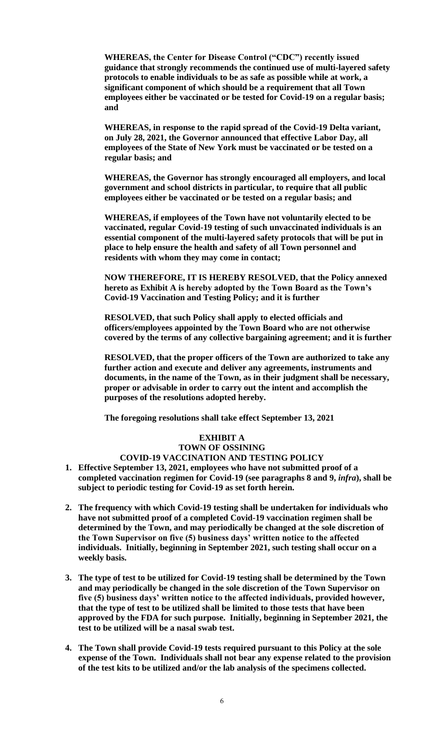**WHEREAS, the Center for Disease Control ("CDC") recently issued guidance that strongly recommends the continued use of multi-layered safety protocols to enable individuals to be as safe as possible while at work, a significant component of which should be a requirement that all Town employees either be vaccinated or be tested for Covid-19 on a regular basis; and** 

**WHEREAS, in response to the rapid spread of the Covid-19 Delta variant, on July 28, 2021, the Governor announced that effective Labor Day, all employees of the State of New York must be vaccinated or be tested on a regular basis; and**

**WHEREAS, the Governor has strongly encouraged all employers, and local government and school districts in particular, to require that all public employees either be vaccinated or be tested on a regular basis; and**

**WHEREAS, if employees of the Town have not voluntarily elected to be vaccinated, regular Covid-19 testing of such unvaccinated individuals is an essential component of the multi-layered safety protocols that will be put in place to help ensure the health and safety of all Town personnel and residents with whom they may come in contact;**

**NOW THEREFORE, IT IS HEREBY RESOLVED, that the Policy annexed hereto as Exhibit A is hereby adopted by the Town Board as the Town's Covid-19 Vaccination and Testing Policy; and it is further**

**RESOLVED, that such Policy shall apply to elected officials and officers/employees appointed by the Town Board who are not otherwise covered by the terms of any collective bargaining agreement; and it is further**

**RESOLVED, that the proper officers of the Town are authorized to take any further action and execute and deliver any agreements, instruments and documents, in the name of the Town, as in their judgment shall be necessary, proper or advisable in order to carry out the intent and accomplish the purposes of the resolutions adopted hereby.**

**The foregoing resolutions shall take effect September 13, 2021**

### **EXHIBIT A**

### **TOWN OF OSSINING**

**COVID-19 VACCINATION AND TESTING POLICY**

- **1. Effective September 13, 2021, employees who have not submitted proof of a completed vaccination regimen for Covid-19 (see paragraphs 8 and 9,** *infra***), shall be subject to periodic testing for Covid-19 as set forth herein.**
- **2. The frequency with which Covid-19 testing shall be undertaken for individuals who have not submitted proof of a completed Covid-19 vaccination regimen shall be determined by the Town, and may periodically be changed at the sole discretion of the Town Supervisor on five (5) business days' written notice to the affected individuals. Initially, beginning in September 2021, such testing shall occur on a weekly basis.**
- **3. The type of test to be utilized for Covid-19 testing shall be determined by the Town and may periodically be changed in the sole discretion of the Town Supervisor on five (5) business days' written notice to the affected individuals, provided however, that the type of test to be utilized shall be limited to those tests that have been approved by the FDA for such purpose. Initially, beginning in September 2021, the test to be utilized will be a nasal swab test.**
- **4. The Town shall provide Covid-19 tests required pursuant to this Policy at the sole expense of the Town. Individuals shall not bear any expense related to the provision of the test kits to be utilized and/or the lab analysis of the specimens collected.**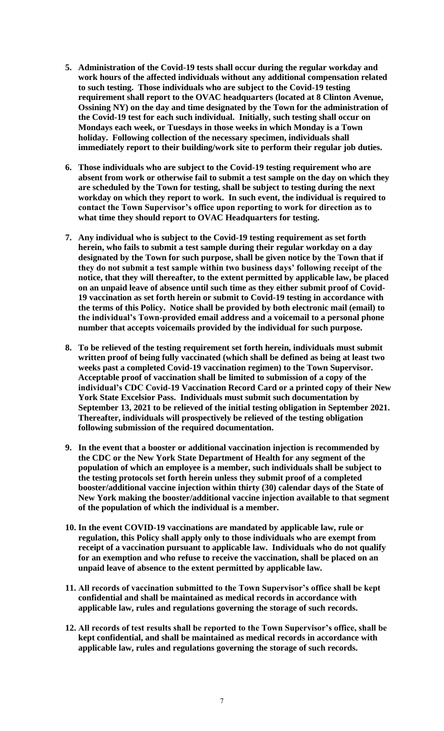- **5. Administration of the Covid-19 tests shall occur during the regular workday and work hours of the affected individuals without any additional compensation related to such testing. Those individuals who are subject to the Covid-19 testing requirement shall report to the OVAC headquarters (located at 8 Clinton Avenue, Ossining NY) on the day and time designated by the Town for the administration of the Covid-19 test for each such individual. Initially, such testing shall occur on Mondays each week, or Tuesdays in those weeks in which Monday is a Town holiday. Following collection of the necessary specimen, individuals shall immediately report to their building/work site to perform their regular job duties.**
- **6. Those individuals who are subject to the Covid-19 testing requirement who are absent from work or otherwise fail to submit a test sample on the day on which they are scheduled by the Town for testing, shall be subject to testing during the next workday on which they report to work. In such event, the individual is required to contact the Town Supervisor's office upon reporting to work for direction as to what time they should report to OVAC Headquarters for testing.**
- **7. Any individual who is subject to the Covid-19 testing requirement as set forth herein, who fails to submit a test sample during their regular workday on a day designated by the Town for such purpose, shall be given notice by the Town that if they do not submit a test sample within two business days' following receipt of the notice, that they will thereafter, to the extent permitted by applicable law, be placed on an unpaid leave of absence until such time as they either submit proof of Covid-19 vaccination as set forth herein or submit to Covid-19 testing in accordance with the terms of this Policy. Notice shall be provided by both electronic mail (email) to the individual's Town-provided email address and a voicemail to a personal phone number that accepts voicemails provided by the individual for such purpose.**
- **8. To be relieved of the testing requirement set forth herein, individuals must submit written proof of being fully vaccinated (which shall be defined as being at least two weeks past a completed Covid-19 vaccination regimen) to the Town Supervisor. Acceptable proof of vaccination shall be limited to submission of a copy of the individual's CDC Covid-19 Vaccination Record Card or a printed copy of their New York State Excelsior Pass. Individuals must submit such documentation by September 13, 2021 to be relieved of the initial testing obligation in September 2021. Thereafter, individuals will prospectively be relieved of the testing obligation following submission of the required documentation.**
- **9. In the event that a booster or additional vaccination injection is recommended by the CDC or the New York State Department of Health for any segment of the population of which an employee is a member, such individuals shall be subject to the testing protocols set forth herein unless they submit proof of a completed booster/additional vaccine injection within thirty (30) calendar days of the State of New York making the booster/additional vaccine injection available to that segment of the population of which the individual is a member.**
- **10. In the event COVID-19 vaccinations are mandated by applicable law, rule or regulation, this Policy shall apply only to those individuals who are exempt from receipt of a vaccination pursuant to applicable law. Individuals who do not qualify for an exemption and who refuse to receive the vaccination, shall be placed on an unpaid leave of absence to the extent permitted by applicable law.**
- **11. All records of vaccination submitted to the Town Supervisor's office shall be kept confidential and shall be maintained as medical records in accordance with applicable law, rules and regulations governing the storage of such records.**
- **12. All records of test results shall be reported to the Town Supervisor's office, shall be kept confidential, and shall be maintained as medical records in accordance with applicable law, rules and regulations governing the storage of such records.**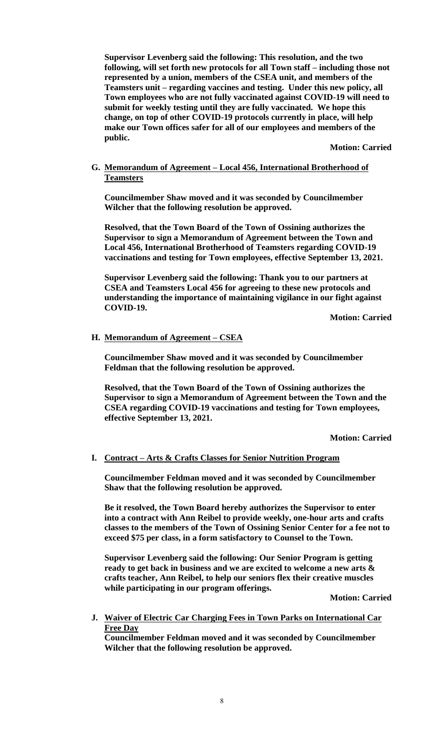**Supervisor Levenberg said the following: This resolution, and the two following, will set forth new protocols for all Town staff – including those not represented by a union, members of the CSEA unit, and members of the Teamsters unit – regarding vaccines and testing. Under this new policy, all Town employees who are not fully vaccinated against COVID-19 will need to submit for weekly testing until they are fully vaccinated. We hope this change, on top of other COVID-19 protocols currently in place, will help make our Town offices safer for all of our employees and members of the public.** 

**Motion: Carried**

## **G. Memorandum of Agreement – Local 456, International Brotherhood of Teamsters**

**Councilmember Shaw moved and it was seconded by Councilmember Wilcher that the following resolution be approved.**

**Resolved, that the Town Board of the Town of Ossining authorizes the Supervisor to sign a Memorandum of Agreement between the Town and Local 456, International Brotherhood of Teamsters regarding COVID-19 vaccinations and testing for Town employees, effective September 13, 2021.** 

**Supervisor Levenberg said the following: Thank you to our partners at CSEA and Teamsters Local 456 for agreeing to these new protocols and understanding the importance of maintaining vigilance in our fight against COVID-19.**

**Motion: Carried**

### **H. Memorandum of Agreement – CSEA**

**Councilmember Shaw moved and it was seconded by Councilmember Feldman that the following resolution be approved.**

**Resolved, that the Town Board of the Town of Ossining authorizes the Supervisor to sign a Memorandum of Agreement between the Town and the CSEA regarding COVID-19 vaccinations and testing for Town employees, effective September 13, 2021.** 

**Motion: Carried**

#### **I. Contract – Arts & Crafts Classes for Senior Nutrition Program**

**Councilmember Feldman moved and it was seconded by Councilmember Shaw that the following resolution be approved.**

**Be it resolved, the Town Board hereby authorizes the Supervisor to enter into a contract with Ann Reibel to provide weekly, one-hour arts and crafts classes to the members of the Town of Ossining Senior Center for a fee not to exceed \$75 per class, in a form satisfactory to Counsel to the Town.** 

**Supervisor Levenberg said the following: Our Senior Program is getting ready to get back in business and we are excited to welcome a new arts & crafts teacher, Ann Reibel, to help our seniors flex their creative muscles while participating in our program offerings.**

**Motion: Carried**

## **J. Waiver of Electric Car Charging Fees in Town Parks on International Car Free Day**

**Councilmember Feldman moved and it was seconded by Councilmember Wilcher that the following resolution be approved.**